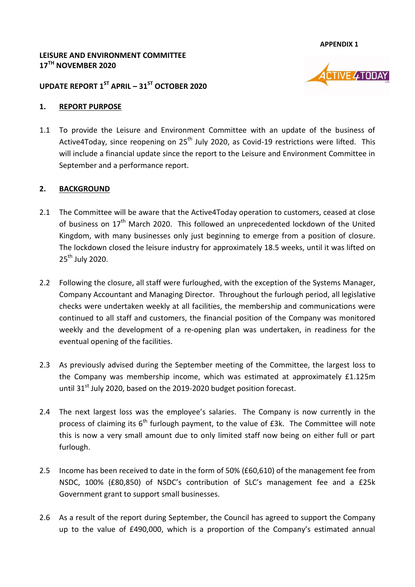**APPENDIX 1**

**VE 4TODAY** 

#### **LEISURE AND ENVIRONMENT COMMITTEE 17TH NOVEMBER 2020**

### **UPDATE REPORT 1 ST APRIL – 31ST OCTOBER 2020**

#### **1. REPORT PURPOSE**

1.1 To provide the Leisure and Environment Committee with an update of the business of Active4Today, since reopening on  $25<sup>th</sup>$  July 2020, as Covid-19 restrictions were lifted. This will include a financial update since the report to the Leisure and Environment Committee in September and a performance report.

#### **2. BACKGROUND**

- 2.1 The Committee will be aware that the Active4Today operation to customers, ceased at close of business on 17<sup>th</sup> March 2020. This followed an unprecedented lockdown of the United Kingdom, with many businesses only just beginning to emerge from a position of closure. The lockdown closed the leisure industry for approximately 18.5 weeks, until it was lifted on 25<sup>th</sup> July 2020.
- 2.2 Following the closure, all staff were furloughed, with the exception of the Systems Manager, Company Accountant and Managing Director. Throughout the furlough period, all legislative checks were undertaken weekly at all facilities, the membership and communications were continued to all staff and customers, the financial position of the Company was monitored weekly and the development of a re-opening plan was undertaken, in readiness for the eventual opening of the facilities.
- 2.3 As previously advised during the September meeting of the Committee, the largest loss to the Company was membership income, which was estimated at approximately £1.125m until 31 $^{st}$  July 2020, based on the 2019-2020 budget position forecast.
- 2.4 The next largest loss was the employee's salaries. The Company is now currently in the process of claiming its  $6<sup>th</sup>$  furlough payment, to the value of £3k. The Committee will note this is now a very small amount due to only limited staff now being on either full or part furlough.
- 2.5 Income has been received to date in the form of 50% (£60,610) of the management fee from NSDC, 100% (£80,850) of NSDC's contribution of SLC's management fee and a £25k Government grant to support small businesses.
- 2.6 As a result of the report during September, the Council has agreed to support the Company up to the value of £490,000, which is a proportion of the Company's estimated annual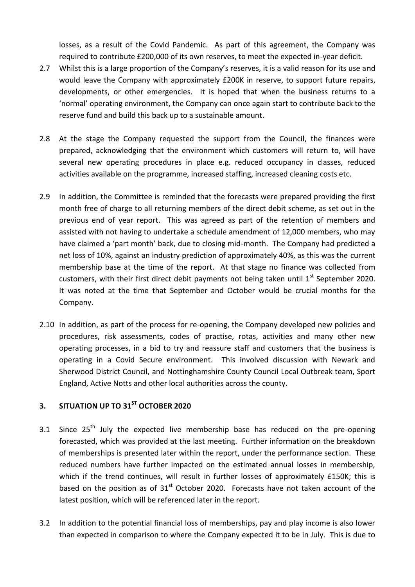losses, as a result of the Covid Pandemic. As part of this agreement, the Company was required to contribute £200,000 of its own reserves, to meet the expected in-year deficit.

- 2.7 Whilst this is a large proportion of the Company's reserves, it is a valid reason for its use and would leave the Company with approximately £200K in reserve, to support future repairs, developments, or other emergencies. It is hoped that when the business returns to a 'normal' operating environment, the Company can once again start to contribute back to the reserve fund and build this back up to a sustainable amount.
- 2.8 At the stage the Company requested the support from the Council, the finances were prepared, acknowledging that the environment which customers will return to, will have several new operating procedures in place e.g. reduced occupancy in classes, reduced activities available on the programme, increased staffing, increased cleaning costs etc.
- 2.9 In addition, the Committee is reminded that the forecasts were prepared providing the first month free of charge to all returning members of the direct debit scheme, as set out in the previous end of year report. This was agreed as part of the retention of members and assisted with not having to undertake a schedule amendment of 12,000 members, who may have claimed a 'part month' back, due to closing mid-month. The Company had predicted a net loss of 10%, against an industry prediction of approximately 40%, as this was the current membership base at the time of the report. At that stage no finance was collected from customers, with their first direct debit payments not being taken until  $1<sup>st</sup>$  September 2020. It was noted at the time that September and October would be crucial months for the Company.
- 2.10 In addition, as part of the process for re-opening, the Company developed new policies and procedures, risk assessments, codes of practise, rotas, activities and many other new operating processes, in a bid to try and reassure staff and customers that the business is operating in a Covid Secure environment. This involved discussion with Newark and Sherwood District Council, and Nottinghamshire County Council Local Outbreak team, Sport England, Active Notts and other local authorities across the county.

# **3. SITUATION UP TO 31ST OCTOBER 2020**

- 3.1 Since  $25<sup>th</sup>$  July the expected live membership base has reduced on the pre-opening forecasted, which was provided at the last meeting. Further information on the breakdown of memberships is presented later within the report, under the performance section. These reduced numbers have further impacted on the estimated annual losses in membership, which if the trend continues, will result in further losses of approximately £150K; this is based on the position as of  $31<sup>st</sup>$  October 2020. Forecasts have not taken account of the latest position, which will be referenced later in the report.
- 3.2 In addition to the potential financial loss of memberships, pay and play income is also lower than expected in comparison to where the Company expected it to be in July. This is due to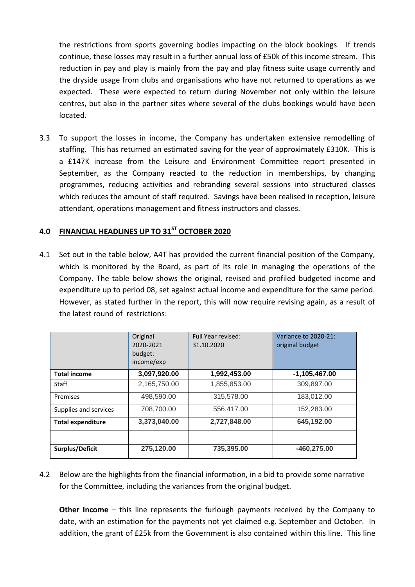the restrictions from sports governing bodies impacting on the block bookings. If trends continue, these losses may result in a further annual loss of £50k of this income stream. This reduction in pay and play is mainly from the pay and play fitness suite usage currently and the dryside usage from clubs and organisations who have not returned to operations as we expected. These were expected to return during November not only within the leisure centres, but also in the partner sites where several of the clubs bookings would have been located.

3.3 To support the losses in income, the Company has undertaken extensive remodelling of staffing. This has returned an estimated saving for the year of approximately £310K. This is a £147K increase from the Leisure and Environment Committee report presented in September, as the Company reacted to the reduction in memberships, by changing programmes, reducing activities and rebranding several sessions into structured classes which reduces the amount of staff required. Savings have been realised in reception, leisure attendant, operations management and fitness instructors and classes.

# **4.0 FINANCIAL HEADLINES UP TO 31ST OCTOBER 2020**

4.1 Set out in the table below, A4T has provided the current financial position of the Company, which is monitored by the Board, as part of its role in managing the operations of the Company. The table below shows the original, revised and profiled budgeted income and expenditure up to period 08, set against actual income and expenditure for the same period. However, as stated further in the report, this will now require revising again, as a result of the latest round of restrictions:

|                          | Original<br>2020-2021<br>budget:<br>income/exp | Full Year revised:<br>31.10.2020 | Variance to 2020-21:<br>original budget |
|--------------------------|------------------------------------------------|----------------------------------|-----------------------------------------|
| <b>Total income</b>      | 3,097,920.00                                   | 1,992,453.00                     | $-1,105,467.00$                         |
| Staff                    | 2,165,750.00                                   | 1,855,853.00                     | 309,897.00                              |
| Premises                 | 498,590.00                                     | 315,578.00                       | 183,012.00                              |
| Supplies and services    | 708.700.00                                     | 556,417.00                       | 152.283.00                              |
| <b>Total expenditure</b> | 3,373,040.00                                   | 2,727,848.00                     | 645,192.00                              |
|                          |                                                |                                  |                                         |
| Surplus/Deficit          | 275,120.00                                     | 735,395.00                       | $-460,275.00$                           |

4.2 Below are the highlights from the financial information, in a bid to provide some narrative for the Committee, including the variances from the original budget.

**Other Income** – this line represents the furlough payments received by the Company to date, with an estimation for the payments not yet claimed e.g. September and October. In addition, the grant of £25k from the Government is also contained within this line. This line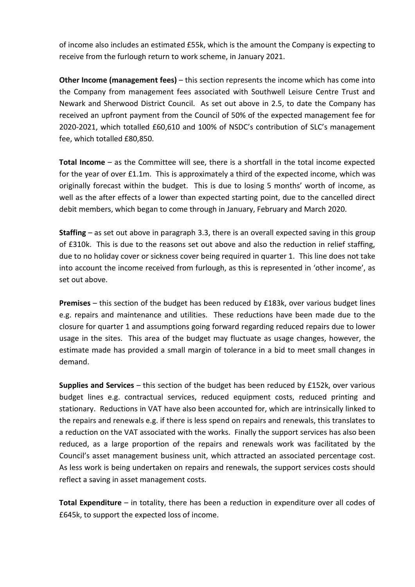of income also includes an estimated £55k, which is the amount the Company is expecting to receive from the furlough return to work scheme, in January 2021.

**Other Income (management fees)** – this section represents the income which has come into the Company from management fees associated with Southwell Leisure Centre Trust and Newark and Sherwood District Council. As set out above in 2.5, to date the Company has received an upfront payment from the Council of 50% of the expected management fee for 2020-2021, which totalled £60,610 and 100% of NSDC's contribution of SLC's management fee, which totalled £80,850.

**Total Income** – as the Committee will see, there is a shortfall in the total income expected for the year of over £1.1m. This is approximately a third of the expected income, which was originally forecast within the budget. This is due to losing 5 months' worth of income, as well as the after effects of a lower than expected starting point, due to the cancelled direct debit members, which began to come through in January, February and March 2020.

**Staffing** – as set out above in paragraph 3.3, there is an overall expected saving in this group of £310k. This is due to the reasons set out above and also the reduction in relief staffing, due to no holiday cover or sickness cover being required in quarter 1. This line does not take into account the income received from furlough, as this is represented in 'other income', as set out above.

**Premises** – this section of the budget has been reduced by £183k, over various budget lines e.g. repairs and maintenance and utilities. These reductions have been made due to the closure for quarter 1 and assumptions going forward regarding reduced repairs due to lower usage in the sites. This area of the budget may fluctuate as usage changes, however, the estimate made has provided a small margin of tolerance in a bid to meet small changes in demand.

**Supplies and Services** – this section of the budget has been reduced by £152k, over various budget lines e.g. contractual services, reduced equipment costs, reduced printing and stationary. Reductions in VAT have also been accounted for, which are intrinsically linked to the repairs and renewals e.g. if there is less spend on repairs and renewals, this translates to a reduction on the VAT associated with the works. Finally the support services has also been reduced, as a large proportion of the repairs and renewals work was facilitated by the Council's asset management business unit, which attracted an associated percentage cost. As less work is being undertaken on repairs and renewals, the support services costs should reflect a saving in asset management costs.

**Total Expenditure** – in totality, there has been a reduction in expenditure over all codes of £645k, to support the expected loss of income.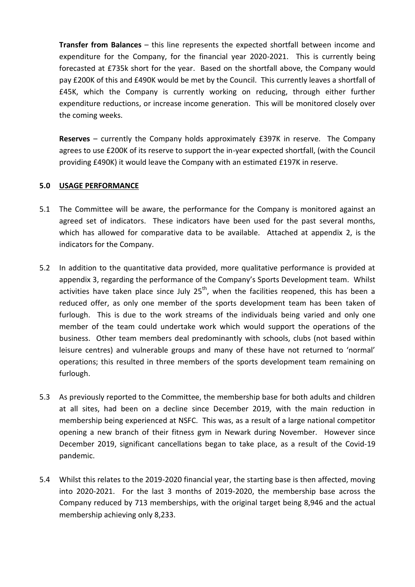**Transfer from Balances** – this line represents the expected shortfall between income and expenditure for the Company, for the financial year 2020-2021. This is currently being forecasted at £735k short for the year. Based on the shortfall above, the Company would pay £200K of this and £490K would be met by the Council. This currently leaves a shortfall of £45K, which the Company is currently working on reducing, through either further expenditure reductions, or increase income generation. This will be monitored closely over the coming weeks.

**Reserves** – currently the Company holds approximately £397K in reserve. The Company agrees to use £200K of its reserve to support the in-year expected shortfall, (with the Council providing £490K) it would leave the Company with an estimated £197K in reserve.

#### **5.0 USAGE PERFORMANCE**

- 5.1 The Committee will be aware, the performance for the Company is monitored against an agreed set of indicators. These indicators have been used for the past several months, which has allowed for comparative data to be available. Attached at appendix 2, is the indicators for the Company.
- 5.2 In addition to the quantitative data provided, more qualitative performance is provided at appendix 3, regarding the performance of the Company's Sports Development team. Whilst activities have taken place since July  $25<sup>th</sup>$ , when the facilities reopened, this has been a reduced offer, as only one member of the sports development team has been taken of furlough. This is due to the work streams of the individuals being varied and only one member of the team could undertake work which would support the operations of the business. Other team members deal predominantly with schools, clubs (not based within leisure centres) and vulnerable groups and many of these have not returned to 'normal' operations; this resulted in three members of the sports development team remaining on furlough.
- 5.3 As previously reported to the Committee, the membership base for both adults and children at all sites, had been on a decline since December 2019, with the main reduction in membership being experienced at NSFC. This was, as a result of a large national competitor opening a new branch of their fitness gym in Newark during November. However since December 2019, significant cancellations began to take place, as a result of the Covid-19 pandemic.
- 5.4 Whilst this relates to the 2019-2020 financial year, the starting base is then affected, moving into 2020-2021. For the last 3 months of 2019-2020, the membership base across the Company reduced by 713 memberships, with the original target being 8,946 and the actual membership achieving only 8,233.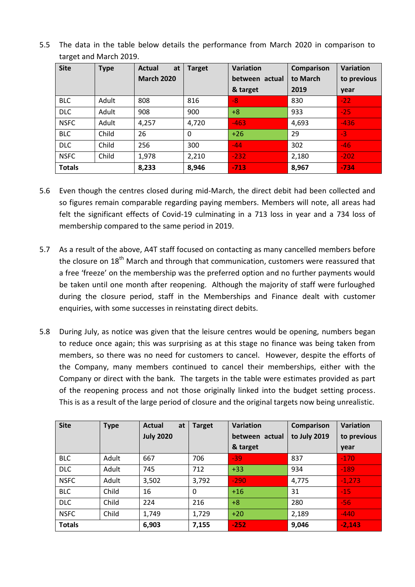| 5.5 The data in the table below details the performance from March 2020 in comparison to |  |  |  |  |  |  |
|------------------------------------------------------------------------------------------|--|--|--|--|--|--|
| target and March 2019.                                                                   |  |  |  |  |  |  |

| <b>Site</b>   | <b>Type</b> | <b>Actual</b><br>at | <b>Target</b> | <b>Variation</b> | Comparison | <b>Variation</b> |
|---------------|-------------|---------------------|---------------|------------------|------------|------------------|
|               |             | <b>March 2020</b>   |               | between actual   | to March   | to previous      |
|               |             |                     |               | & target         | 2019       | year             |
| <b>BLC</b>    | Adult       | 808                 | 816           | $-8$             | 830        | $-22$            |
| <b>DLC</b>    | Adult       | 908                 | 900           | $+8$             | 933        | $-25$            |
| <b>NSFC</b>   | Adult       | 4,257               | 4,720         | $-463$           | 4,693      | $-436$           |
| <b>BLC</b>    | Child       | 26                  | 0             | $+26$            | 29         | $-3$             |
| <b>DLC</b>    | Child       | 256                 | 300           | $-44$            | 302        | $-46$            |
| <b>NSFC</b>   | Child       | 1,978               | 2,210         | $-232$           | 2,180      | $-202$           |
| <b>Totals</b> |             | 8,233               | 8,946         | $-713$           | 8,967      | $-734$           |

- 5.6 Even though the centres closed during mid-March, the direct debit had been collected and so figures remain comparable regarding paying members. Members will note, all areas had felt the significant effects of Covid-19 culminating in a 713 loss in year and a 734 loss of membership compared to the same period in 2019.
- 5.7 As a result of the above, A4T staff focused on contacting as many cancelled members before the closure on  $18<sup>th</sup>$  March and through that communication, customers were reassured that a free 'freeze' on the membership was the preferred option and no further payments would be taken until one month after reopening. Although the majority of staff were furloughed during the closure period, staff in the Memberships and Finance dealt with customer enquiries, with some successes in reinstating direct debits.
- 5.8 During July, as notice was given that the leisure centres would be opening, numbers began to reduce once again; this was surprising as at this stage no finance was being taken from members, so there was no need for customers to cancel. However, despite the efforts of the Company, many members continued to cancel their memberships, either with the Company or direct with the bank. The targets in the table were estimates provided as part of the reopening process and not those originally linked into the budget setting process. This is as a result of the large period of closure and the original targets now being unrealistic.

| <b>Site</b>   | <b>Type</b> | <b>Actual</b><br>at | <b>Target</b> | Variation      | Comparison   | <b>Variation</b> |
|---------------|-------------|---------------------|---------------|----------------|--------------|------------------|
|               |             | <b>July 2020</b>    |               | between actual | to July 2019 | to previous      |
|               |             |                     |               | & target       |              | year             |
| <b>BLC</b>    | Adult       | 667                 | 706           | $-39$          | 837          | $-170$           |
| <b>DLC</b>    | Adult       | 712<br>745          |               | $+33$          | 934          | $-189$           |
| <b>NSFC</b>   | Adult       | 3,502               | 3,792         | $-290$         | 4,775        | $-1,273$         |
| <b>BLC</b>    | Child       | 16                  | $\mathbf{0}$  | $+16$          | 31           | $-15$            |
| <b>DLC</b>    | Child       | 224                 | 216           | $+8$           | 280          | $-56$            |
| <b>NSFC</b>   | Child       | 1,749               | 1,729         | $+20$          | 2,189        | $-440$           |
| <b>Totals</b> |             | 6,903               | 7,155         | $-252$         | 9,046        | $-2,143$         |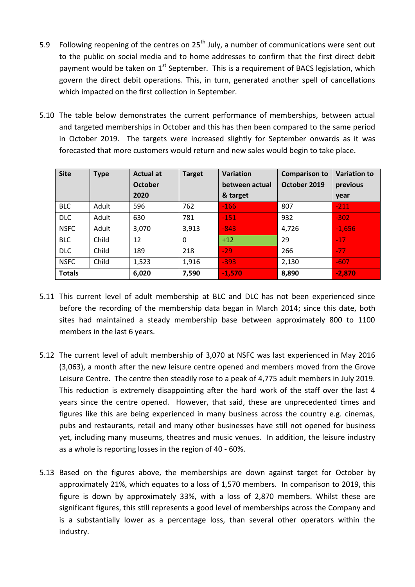- 5.9 Following reopening of the centres on  $25<sup>th</sup>$  July, a number of communications were sent out to the public on social media and to home addresses to confirm that the first direct debit payment would be taken on  $1^{st}$  September. This is a requirement of BACS legislation, which govern the direct debit operations. This, in turn, generated another spell of cancellations which impacted on the first collection in September.
- 5.10 The table below demonstrates the current performance of memberships, between actual and targeted memberships in October and this has then been compared to the same period in October 2019. The targets were increased slightly for September onwards as it was forecasted that more customers would return and new sales would begin to take place.

| <b>Site</b>   | <b>Type</b> | <b>Actual at</b> | <b>Target</b> | <b>Variation</b> | <b>Comparison to</b> | <b>Variation to</b> |
|---------------|-------------|------------------|---------------|------------------|----------------------|---------------------|
|               |             | <b>October</b>   |               | between actual   | October 2019         | previous            |
|               |             | 2020             |               | & target         |                      | year                |
| <b>BLC</b>    | Adult       | 596              | 762           | $-166$           | 807                  | $-211$              |
| <b>DLC</b>    | Adult       | 630              | 781           | $-151$           | 932                  | $-302$              |
| <b>NSFC</b>   | Adult       | 3,070            | 3,913         | $-843$           | 4,726                | $-1,656$            |
| <b>BLC</b>    | Child       | 12               | $\Omega$      | $+12$            | 29                   | $-17$               |
| <b>DLC</b>    | Child       | 189              | 218           | $-29$            | 266                  | $-77$               |
| <b>NSFC</b>   | Child       | 1,523            | 1,916         | $-393$           | 2,130                | $-607$              |
| <b>Totals</b> |             | 6,020            | 7,590         | $-1,570$         | 8,890                | $-2,870$            |

- 5.11 This current level of adult membership at BLC and DLC has not been experienced since before the recording of the membership data began in March 2014; since this date, both sites had maintained a steady membership base between approximately 800 to 1100 members in the last 6 years.
- 5.12 The current level of adult membership of 3,070 at NSFC was last experienced in May 2016 (3,063), a month after the new leisure centre opened and members moved from the Grove Leisure Centre. The centre then steadily rose to a peak of 4,775 adult members in July 2019. This reduction is extremely disappointing after the hard work of the staff over the last 4 years since the centre opened. However, that said, these are unprecedented times and figures like this are being experienced in many business across the country e.g. cinemas, pubs and restaurants, retail and many other businesses have still not opened for business yet, including many museums, theatres and music venues. In addition, the leisure industry as a whole is reporting losses in the region of 40 - 60%.
- 5.13 Based on the figures above, the memberships are down against target for October by approximately 21%, which equates to a loss of 1,570 members. In comparison to 2019, this figure is down by approximately 33%, with a loss of 2,870 members. Whilst these are significant figures, this still represents a good level of memberships across the Company and is a substantially lower as a percentage loss, than several other operators within the industry.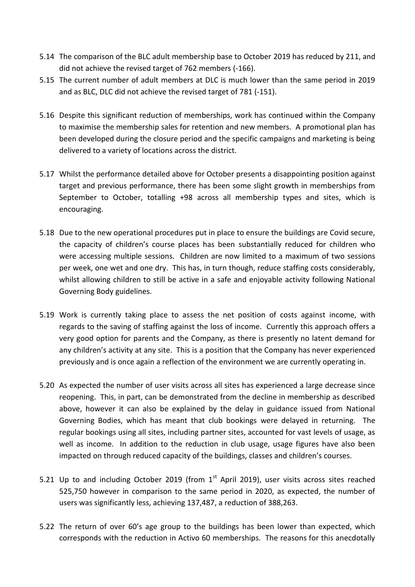- 5.14 The comparison of the BLC adult membership base to October 2019 has reduced by 211, and did not achieve the revised target of 762 members (-166).
- 5.15 The current number of adult members at DLC is much lower than the same period in 2019 and as BLC, DLC did not achieve the revised target of 781 (-151).
- 5.16 Despite this significant reduction of memberships, work has continued within the Company to maximise the membership sales for retention and new members. A promotional plan has been developed during the closure period and the specific campaigns and marketing is being delivered to a variety of locations across the district.
- 5.17 Whilst the performance detailed above for October presents a disappointing position against target and previous performance, there has been some slight growth in memberships from September to October, totalling +98 across all membership types and sites, which is encouraging.
- 5.18 Due to the new operational procedures put in place to ensure the buildings are Covid secure, the capacity of children's course places has been substantially reduced for children who were accessing multiple sessions. Children are now limited to a maximum of two sessions per week, one wet and one dry. This has, in turn though, reduce staffing costs considerably, whilst allowing children to still be active in a safe and enjoyable activity following National Governing Body guidelines.
- 5.19 Work is currently taking place to assess the net position of costs against income, with regards to the saving of staffing against the loss of income. Currently this approach offers a very good option for parents and the Company, as there is presently no latent demand for any children's activity at any site. This is a position that the Company has never experienced previously and is once again a reflection of the environment we are currently operating in.
- 5.20 As expected the number of user visits across all sites has experienced a large decrease since reopening. This, in part, can be demonstrated from the decline in membership as described above, however it can also be explained by the delay in guidance issued from National Governing Bodies, which has meant that club bookings were delayed in returning. The regular bookings using all sites, including partner sites, accounted for vast levels of usage, as well as income. In addition to the reduction in club usage, usage figures have also been impacted on through reduced capacity of the buildings, classes and children's courses.
- 5.21 Up to and including October 2019 (from  $1<sup>st</sup>$  April 2019), user visits across sites reached 525,750 however in comparison to the same period in 2020, as expected, the number of users was significantly less, achieving 137,487, a reduction of 388,263.
- 5.22 The return of over 60's age group to the buildings has been lower than expected, which corresponds with the reduction in Activo 60 memberships. The reasons for this anecdotally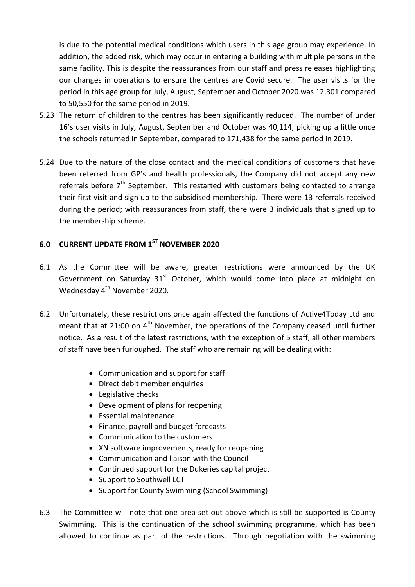is due to the potential medical conditions which users in this age group may experience. In addition, the added risk, which may occur in entering a building with multiple persons in the same facility. This is despite the reassurances from our staff and press releases highlighting our changes in operations to ensure the centres are Covid secure. The user visits for the period in this age group for July, August, September and October 2020 was 12,301 compared to 50,550 for the same period in 2019.

- 5.23 The return of children to the centres has been significantly reduced. The number of under 16's user visits in July, August, September and October was 40,114, picking up a little once the schools returned in September, compared to 171,438 for the same period in 2019.
- 5.24 Due to the nature of the close contact and the medical conditions of customers that have been referred from GP's and health professionals, the Company did not accept any new referrals before 7<sup>th</sup> September. This restarted with customers being contacted to arrange their first visit and sign up to the subsidised membership. There were 13 referrals received during the period; with reassurances from staff, there were 3 individuals that signed up to the membership scheme.

## **6.0 CURRENT UPDATE FROM 1ST NOVEMBER 2020**

- 6.1 As the Committee will be aware, greater restrictions were announced by the UK Government on Saturday  $31<sup>st</sup>$  October, which would come into place at midnight on Wednesday 4<sup>th</sup> November 2020.
- 6.2 Unfortunately, these restrictions once again affected the functions of Active4Today Ltd and meant that at 21:00 on  $4<sup>th</sup>$  November, the operations of the Company ceased until further notice. As a result of the latest restrictions, with the exception of 5 staff, all other members of staff have been furloughed. The staff who are remaining will be dealing with:
	- Communication and support for staff
	- Direct debit member enquiries
	- Legislative checks
	- Development of plans for reopening
	- Essential maintenance
	- Finance, payroll and budget forecasts
	- Communication to the customers
	- XN software improvements, ready for reopening
	- Communication and liaison with the Council
	- Continued support for the Dukeries capital project
	- Support to Southwell LCT
	- Support for County Swimming (School Swimming)
- 6.3 The Committee will note that one area set out above which is still be supported is County Swimming. This is the continuation of the school swimming programme, which has been allowed to continue as part of the restrictions. Through negotiation with the swimming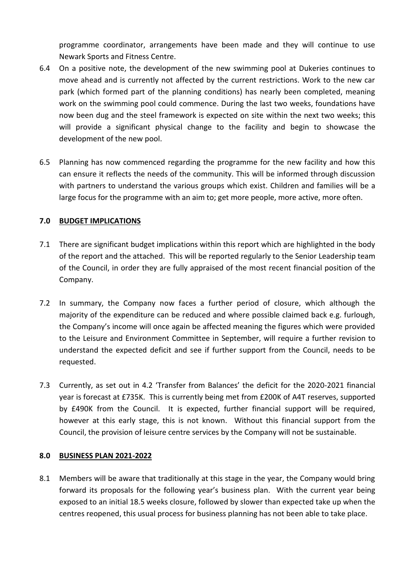programme coordinator, arrangements have been made and they will continue to use Newark Sports and Fitness Centre.

- 6.4 On a positive note, the development of the new swimming pool at Dukeries continues to move ahead and is currently not affected by the current restrictions. Work to the new car park (which formed part of the planning conditions) has nearly been completed, meaning work on the swimming pool could commence. During the last two weeks, foundations have now been dug and the steel framework is expected on site within the next two weeks; this will provide a significant physical change to the facility and begin to showcase the development of the new pool.
- 6.5 Planning has now commenced regarding the programme for the new facility and how this can ensure it reflects the needs of the community. This will be informed through discussion with partners to understand the various groups which exist. Children and families will be a large focus for the programme with an aim to; get more people, more active, more often.

#### **7.0 BUDGET IMPLICATIONS**

- 7.1 There are significant budget implications within this report which are highlighted in the body of the report and the attached. This will be reported regularly to the Senior Leadership team of the Council, in order they are fully appraised of the most recent financial position of the Company.
- 7.2 In summary, the Company now faces a further period of closure, which although the majority of the expenditure can be reduced and where possible claimed back e.g. furlough, the Company's income will once again be affected meaning the figures which were provided to the Leisure and Environment Committee in September, will require a further revision to understand the expected deficit and see if further support from the Council, needs to be requested.
- 7.3 Currently, as set out in 4.2 'Transfer from Balances' the deficit for the 2020-2021 financial year is forecast at £735K. This is currently being met from £200K of A4T reserves, supported by £490K from the Council. It is expected, further financial support will be required, however at this early stage, this is not known. Without this financial support from the Council, the provision of leisure centre services by the Company will not be sustainable.

#### **8.0 BUSINESS PLAN 2021-2022**

8.1 Members will be aware that traditionally at this stage in the year, the Company would bring forward its proposals for the following year's business plan. With the current year being exposed to an initial 18.5 weeks closure, followed by slower than expected take up when the centres reopened, this usual process for business planning has not been able to take place.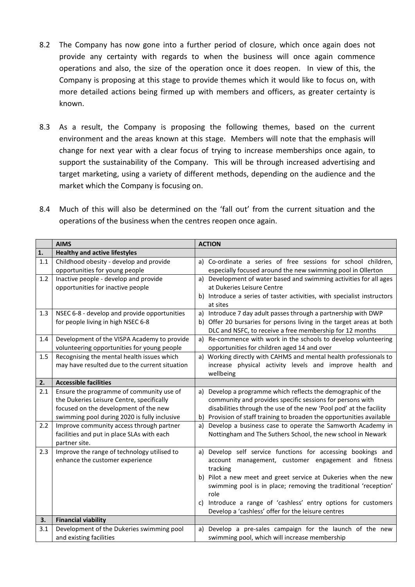- 8.2 The Company has now gone into a further period of closure, which once again does not provide any certainty with regards to when the business will once again commence operations and also, the size of the operation once it does reopen. In view of this, the Company is proposing at this stage to provide themes which it would like to focus on, with more detailed actions being firmed up with members and officers, as greater certainty is known.
- 8.3 As a result, the Company is proposing the following themes, based on the current environment and the areas known at this stage. Members will note that the emphasis will change for next year with a clear focus of trying to increase memberships once again, to support the sustainability of the Company. This will be through increased advertising and target marketing, using a variety of different methods, depending on the audience and the market which the Company is focusing on.
- 8.4 Much of this will also be determined on the 'fall out' from the current situation and the operations of the business when the centres reopen once again.

|            | <b>AIMS</b>                                                                                                                                                                                                                | <b>ACTION</b>                                                                                                                                                                                                                                                                                                                                                                                     |
|------------|----------------------------------------------------------------------------------------------------------------------------------------------------------------------------------------------------------------------------|---------------------------------------------------------------------------------------------------------------------------------------------------------------------------------------------------------------------------------------------------------------------------------------------------------------------------------------------------------------------------------------------------|
| 1.         | <b>Healthy and active lifestyles</b>                                                                                                                                                                                       |                                                                                                                                                                                                                                                                                                                                                                                                   |
| $1.1\,$    | Childhood obesity - develop and provide<br>opportunities for young people                                                                                                                                                  | a) Co-ordinate a series of free sessions for school children,<br>especially focused around the new swimming pool in Ollerton                                                                                                                                                                                                                                                                      |
| 1.2        | Inactive people - develop and provide<br>opportunities for inactive people                                                                                                                                                 | Development of water based and swimming activities for all ages<br>a)<br>at Dukeries Leisure Centre<br>b) Introduce a series of taster activities, with specialist instructors<br>at sites                                                                                                                                                                                                        |
| 1.3        | NSEC 6-8 - develop and provide opportunities<br>for people living in high NSEC 6-8                                                                                                                                         | Introduce 7 day adult passes through a partnership with DWP<br>a)<br>b) Offer 20 bursaries for persons living in the target areas at both<br>DLC and NSFC, to receive a free membership for 12 months                                                                                                                                                                                             |
| 1.4        | Development of the VISPA Academy to provide<br>volunteering opportunities for young people                                                                                                                                 | Re-commence with work in the schools to develop volunteering<br>a)<br>opportunities for children aged 14 and over                                                                                                                                                                                                                                                                                 |
| 1.5        | Recognising the mental health issues which<br>may have resulted due to the current situation                                                                                                                               | a) Working directly with CAHMS and mental health professionals to<br>increase physical activity levels and improve health and<br>wellbeing                                                                                                                                                                                                                                                        |
| 2.         | <b>Accessible facilities</b>                                                                                                                                                                                               |                                                                                                                                                                                                                                                                                                                                                                                                   |
| 2.1<br>2.2 | Ensure the programme of community use of<br>the Dukeries Leisure Centre, specifically<br>focused on the development of the new<br>swimming pool during 2020 is fully inclusive<br>Improve community access through partner | Develop a programme which reflects the demographic of the<br>a)<br>community and provides specific sessions for persons with<br>disabilities through the use of the new 'Pool pod' at the facility<br>Provision of staff training to broaden the opportunities available<br>b)<br>Develop a business case to operate the Samworth Academy in<br>a)                                                |
|            | facilities and put in place SLAs with each<br>partner site.                                                                                                                                                                | Nottingham and The Suthers School, the new school in Newark                                                                                                                                                                                                                                                                                                                                       |
| 2.3        | Improve the range of technology utilised to<br>enhance the customer experience                                                                                                                                             | a) Develop self service functions for accessing bookings and<br>account management, customer engagement and fitness<br>tracking<br>b) Pilot a new meet and greet service at Dukeries when the new<br>swimming pool is in place; removing the traditional 'reception'<br>role<br>Introduce a range of 'cashless' entry options for customers<br>Develop a 'cashless' offer for the leisure centres |
| 3.         | <b>Financial viability</b>                                                                                                                                                                                                 |                                                                                                                                                                                                                                                                                                                                                                                                   |
| 3.1        | Development of the Dukeries swimming pool<br>and existing facilities                                                                                                                                                       | Develop a pre-sales campaign for the launch of the new<br>a)<br>swimming pool, which will increase membership                                                                                                                                                                                                                                                                                     |